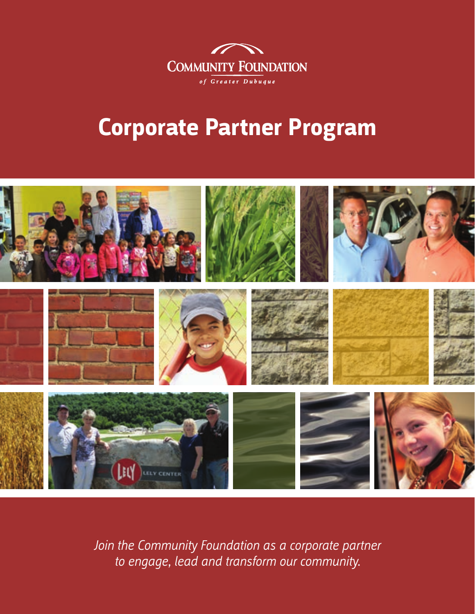

# **Corporate Partner Program**



*Join the Community Foundation as a corporate partner to engage, lead and transform our community.*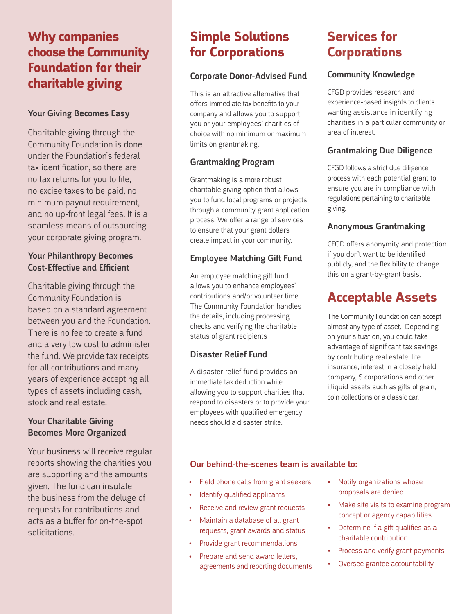# **Why companies choose the Community Foundation for their charitable giving**

#### Your Giving Becomes Easy

Charitable giving through the Community Foundation is done under the Foundation's federal tax identification, so there are no tax returns for you to file, no excise taxes to be paid, no minimum payout requirement, and no up-front legal fees. It is a seamless means of outsourcing your corporate giving program.

#### Your Philanthropy Becomes Cost-Effective and Efficient

Charitable giving through the Community Foundation is based on a standard agreement between you and the Foundation. There is no fee to create a fund and a very low cost to administer the fund. We provide tax receipts for all contributions and many years of experience accepting all types of assets including cash, stock and real estate.

#### Your Charitable Giving Becomes More Organized

Your business will receive regular reports showing the charities you are supporting and the amounts given. The fund can insulate the business from the deluge of requests for contributions and acts as a buffer for on-the-spot solicitations.

# **Simple Solutions for Corporations**

#### Corporate Donor-Advised Fund

This is an attractive alternative that offers immediate tax benefits to your company and allows you to support you or your employees' charities of choice with no minimum or maximum limits on grantmaking.

#### Grantmaking Program

Grantmaking is a more robust charitable giving option that allows you to fund local programs or projects through a community grant application process. We offer a range of services to ensure that your grant dollars create impact in your community.

#### Employee Matching Gift Fund

An employee matching gift fund allows you to enhance employees' contributions and/or volunteer time. The Community Foundation handles the details, including processing checks and verifying the charitable status of grant recipients

#### Disaster Relief Fund

A disaster relief fund provides an immediate tax deduction while allowing you to support charities that respond to disasters or to provide your employees with qualified emergency needs should a disaster strike.

### **Services for Corporations**

#### Community Knowledge

CFGD provides research and experience-based insights to clients wanting assistance in identifying charities in a particular community or area of interest.

#### Grantmaking Due Diligence

CFGD follows a strict due diligence process with each potential grant to ensure you are in compliance with regulations pertaining to charitable giving.

#### Anonymous Grantmaking

CFGD offers anonymity and protection if you don't want to be identified publicly, and the flexibility to change this on a grant-by-grant basis.

# **Acceptable Assets**

The Community Foundation can accept almost any type of asset. Depending on your situation, you could take advantage of significant tax savings by contributing real estate, life insurance, interest in a closely held company, S corporations and other illiquid assets such as gifts of grain, coin collections or a classic car.

#### Our behind-the-scenes team is available to:

- • Field phone calls from grant seekers
- • Identify qualified applicants
- Receive and review grant requests
- Maintain a database of all grant requests, grant awards and status
- • Provide grant recommendations
- Prepare and send award letters, agreements and reporting documents
- Notify organizations whose proposals are denied
- Make site visits to examine program concept or agency capabilities
- • Determine if a gift qualifies as a charitable contribution
- • Process and verify grant payments
- Oversee grantee accountability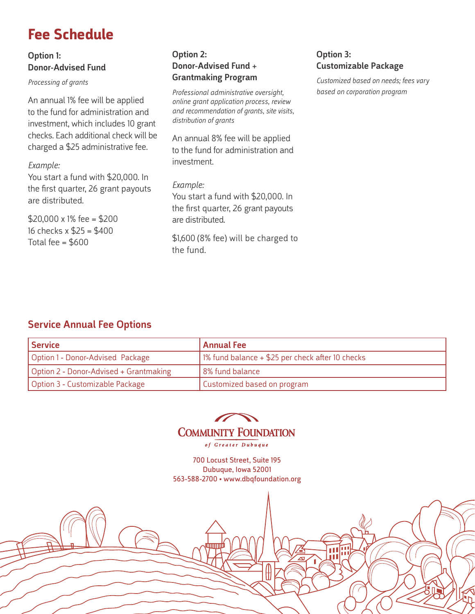# **Fee Schedule**

#### Option 1: Donor-Advised Fund

*Processing of grants*

An annual 1% fee will be applied to the fund for administration and investment, which includes 10 grant checks. Each additional check will be charged a \$25 administrative fee.

#### *Example:*

You start a fund with \$20,000. In the first quarter, 26 grant payouts are distributed.

 $$20.000 \times 1\%$  fee = \$200 16 checks x \$25 = \$400 Total fee  $=$  \$600

#### Option 2: Donor-Advised Fund + Grantmaking Program

*Professional administrative oversight, online grant application process, review and recommendation of grants, site visits, distribution of grants*

An annual 8% fee will be applied to the fund for administration and investment.

#### *Example:*

You start a fund with \$20,000. In the first quarter, 26 grant payouts are distributed.

\$1,600 (8% fee) will be charged to the fund.

#### Option 3: Customizable Package

*Customized based on needs; fees vary based on corporation program*

#### Service Annual Fee Options

| Service                                | Annual Fee                                         |
|----------------------------------------|----------------------------------------------------|
| Option 1 - Donor-Advised Package       | 1% fund balance $+$ \$25 per check after 10 checks |
| Option 2 - Donor-Advised + Grantmaking | 8% fund balance                                    |
| Option 3 - Customizable Package        | Customized based on program                        |



of Greater Dubuque

700 Locust Street, Suite 195 Dubuque, Iowa 52001 563-588-2700 • www.dbqfoundation.org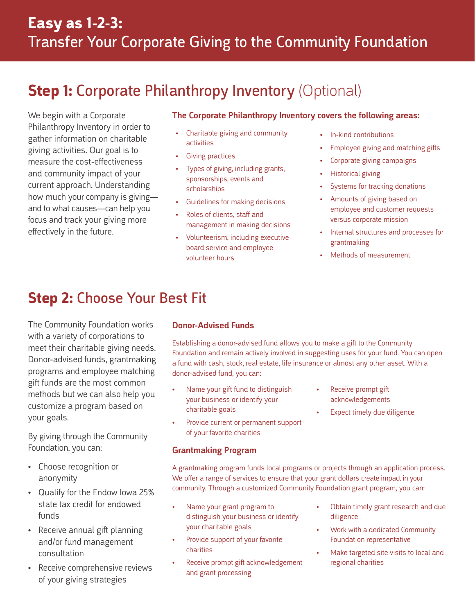# **Step 1: Corporate Philanthropy Inventory (Optional)**

We begin with a Corporate Philanthropy Inventory in order to gather information on charitable giving activities. Our goal is to measure the cost-effectiveness and community impact of your current approach. Understanding how much your company is giving and to what causes—can help you focus and track your giving more effectively in the future.

#### The Corporate Philanthropy Inventory covers the following areas:

- Charitable giving and community activities
- **Giving practices**
- Types of giving, including grants, sponsorships, events and scholarships
- • Guidelines for making decisions
- Roles of clients, staff and management in making decisions
- • Volunteerism, including executive board service and employee volunteer hours
- In-kind contributions
- Employee giving and matching gifts
- Corporate giving campaigns
- **Historical giving**
- Systems for tracking donations
- • Amounts of giving based on employee and customer requests versus corporate mission
- • Internal structures and processes for grantmaking
- **Methods of measurement**

# **Step 2:** Choose Your Best Fit

The Community Foundation works with a variety of corporations to meet their charitable giving needs. Donor-advised funds, grantmaking programs and employee matching gift funds are the most common methods but we can also help you customize a program based on your goals.

By giving through the Community Foundation, you can:

- Choose recognition or anonymity
- • Qualify for the Endow Iowa 25% state tax credit for endowed funds
- Receive annual gift planning and/or fund management consultation
- • Receive comprehensive reviews of your giving strategies

#### Donor-Advised Funds

Establishing a donor-advised fund allows you to make a gift to the Community Foundation and remain actively involved in suggesting uses for your fund. You can open a fund with cash, stock, real estate, life insurance or almost any other asset. With a donor-advised fund, you can:

- Name your gift fund to distinguish your business or identify your charitable goals
- Provide current or permanent support of your favorite charities

#### Grantmaking Program

- Receive prompt gift acknowledgements
- Expect timely due diligence

A grantmaking program funds local programs or projects through an application process. We offer a range of services to ensure that your grant dollars create impact in your community. Through a customized Community Foundation grant program, you can:

- Name your grant program to distinguish your business or identify your charitable goals
- Provide support of your favorite charities
- Receive prompt gift acknowledgement and grant processing
- Obtain timely grant research and due diligence
- Work with a dedicated Community Foundation representative
- Make targeted site visits to local and regional charities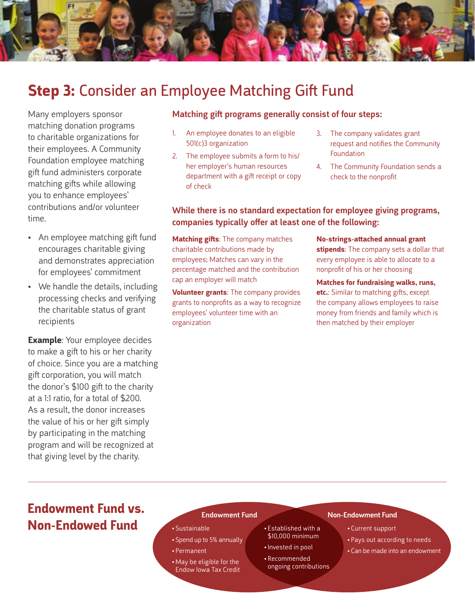

# **Step 3:** Consider an Employee Matching Gift Fund

Many employers sponsor matching donation programs to charitable organizations for their employees. A Community Foundation employee matching gift fund administers corporate matching gifts while allowing you to enhance employees' contributions and/or volunteer time.

- An employee matching gift fund encourages charitable giving and demonstrates appreciation for employees' commitment
- We handle the details, including processing checks and verifying the charitable status of grant recipients

**Example:** Your employee decides to make a gift to his or her charity of choice. Since you are a matching gift corporation, you will match the donor's \$100 gift to the charity at a 1:1 ratio, for a total of \$200. As a result, the donor increases the value of his or her gift simply by participating in the matching program and will be recognized at that giving level by the charity.

#### Matching gift programs generally consist of four steps:

- 1. An employee donates to an eligible 501(c)3 organization
- 2. The employee submits a form to his/ her employer's human resources department with a gift receipt or copy of check
- 3. The company validates grant request and notifies the Community Foundation
- 4. The Community Foundation sends a check to the nonprofit

#### While there is no standard expectation for employee giving programs, companies typically offer at least one of the following:

**Matching gifts**: The company matches charitable contributions made by employees; Matches can vary in the percentage matched and the contribution cap an employer will match

**Volunteer grants**: The company provides grants to nonprofits as a way to recognize employees' volunteer time with an organization

**No-strings-attached annual grant stipends**: The company sets a dollar that every employee is able to allocate to a nonprofit of his or her choosing

**Matches for fundraising walks, runs, etc.**: Similar to matching gifts, except the company allows employees to raise money from friends and family which is then matched by their employer

# **Endowment Fund vs. Non-Endowed Fund**

- • Sustainable
- • Spend up to 5% annually
- • Permanent
- • May be eligible for the Endow Iowa Tax Credit
- • Established with a \$10,000 minimum
- • Invested in pool
- • Recommended
- ongoing contributions

#### Endowment Fund Non-Endowment Fund

- • Current support
- Pays out according to needs
- • Can be made into an endowment